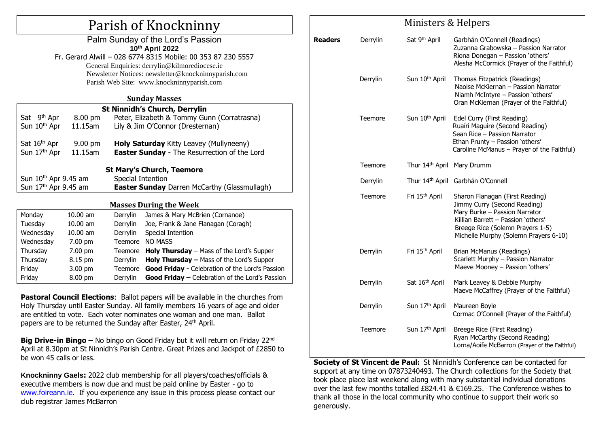# Parish of Knockninny

#### Palm Sunday of the Lord's Passion **10th April 2022** Fr. Gerard Alwill – 028 6774 8315 Mobile: 00 353 87 230 5557 General Enquiries: [derrylin@kilmorediocese.ie](mailto:derrylin@kilmorediocese.ie) Newsletter Notices: newsletter@knockninnyparish.com Parish Web Site: www.knockninnyparish.com

### **Sunday Masses**

| <b>St Ninnidh's Church, Derrylin</b> |                   |                                                     |                                     |  |  |  |  |
|--------------------------------------|-------------------|-----------------------------------------------------|-------------------------------------|--|--|--|--|
| Sat 9 <sup>th</sup> Apr              | 8.00 pm           | Peter, Elizabeth & Tommy Gunn (Corratrasna)         |                                     |  |  |  |  |
| Sun 10 <sup>th</sup> Apr             | 11.15am           | Lily & Jim O'Connor (Dresternan)                    |                                     |  |  |  |  |
|                                      |                   |                                                     |                                     |  |  |  |  |
| Sat 16 <sup>th</sup> Apr             | $9.00 \text{ pm}$ | <b>Holy Saturday</b> Kitty Leavey (Mullyneeny)      |                                     |  |  |  |  |
| Sun 17th Apr                         | 11.15am           | <b>Easter Sunday</b> - The Resurrection of the Lord |                                     |  |  |  |  |
|                                      |                   |                                                     |                                     |  |  |  |  |
| <b>St Mary's Church, Teemore</b>     |                   |                                                     |                                     |  |  |  |  |
| Sun 10 <sup>th</sup> Apr 9.45 am     |                   | Special Intention                                   |                                     |  |  |  |  |
| Sun 17 <sup>th</sup> Apr 9.45 am     |                   | <b>Easter Sunday</b> Darren McCarthy (Glassmullagh) |                                     |  |  |  |  |
|                                      |                   |                                                     |                                     |  |  |  |  |
| <b>Masses During the Week</b>        |                   |                                                     |                                     |  |  |  |  |
| Monday                               | 10.00 am          | Derrylin                                            | James & Mary McBrien (Cornanoe)     |  |  |  |  |
| Tuesdav                              | 10.00 am          | Derrylin                                            | Joe, Frank & Jane Flanagan (Coragh) |  |  |  |  |

| Tuesday   | $10.00$ am        | <b>Derrylin</b> | Joe, Frank & Jane Flanagan (Coragh)                     |
|-----------|-------------------|-----------------|---------------------------------------------------------|
| Wednesday | $10.00$ am        | Derrylin        | Special Intention                                       |
| Wednesday | $7.00 \text{ pm}$ | Teemore         | NO MASS                                                 |
| Thursday  | 7.00 pm           |                 | Teemore Holy Thursday - Mass of the Lord's Supper       |
| Thursday  | 8.15 pm           | <b>Derrylin</b> | Holy Thursday - Mass of the Lord's Supper               |
| Friday    | $3.00 \text{ pm}$ |                 | Teemore Good Friday - Celebration of the Lord's Passion |
| Friday    | $8.00$ pm         | Derrylin        | <b>Good Friday - Celebration of the Lord's Passion</b>  |

**Pastoral Council Elections:** Ballot papers will be available in the churches from Holy Thursday until Easter Sunday. All family members 16 years of age and older are entitled to vote. Each voter nominates one woman and one man. Ballot papers are to be returned the Sunday after Easter, 24<sup>th</sup> April.

**Big Drive-in Bingo** – No bingo on Good Friday but it will return on Friday 22<sup>nd</sup> April at 8.30pm at St Ninnidh's Parish Centre. Great Prizes and Jackpot of £2850 to be won 45 calls or less.

**Knockninny Gaels:** 2022 club membership for all players/coaches/officials & executive members is now due and must be paid online by Easter - go to [www.foireann.ie.](http://www.foireann.ie/) If you experience any issue in this process please contact our club registrar James McBarron

### Ministers & Helpers

| <b>Readers</b> | Derrylin | Sat 9 <sup>th</sup> April   | Garbhán O'Connell (Readings)<br>Zuzanna Grabowska - Passion Narrator<br>Riona Donegan - Passion 'others'<br>Alesha McCormick (Prayer of the Faithful)                                                               |
|----------------|----------|-----------------------------|---------------------------------------------------------------------------------------------------------------------------------------------------------------------------------------------------------------------|
|                | Derrylin | Sun 10 <sup>th</sup> April  | Thomas Fitzpatrick (Readings)<br>Naoise McKiernan - Passion Narrator<br>Niamh McIntyre - Passion 'others'<br>Oran McKiernan (Prayer of the Faithful)                                                                |
|                | Teemore  | Sun 10 <sup>th</sup> April  | Edel Curry (First Reading)<br>Ruaírí Maguire (Second Reading)<br>Sean Rice - Passion Narrator<br>Ethan Prunty - Passion 'others'<br>Caroline McManus - Prayer of the Faithful)                                      |
|                | Teemore  | Thur 14 <sup>th</sup> April | Mary Drumm                                                                                                                                                                                                          |
|                | Derrylin | Thur 14 <sup>th</sup> April | Garbhán O'Connell                                                                                                                                                                                                   |
|                | Teemore  | Fri 15 <sup>th</sup> April  | Sharon Flanagan (First Reading)<br>Jimmy Curry (Second Reading)<br>Mary Burke - Passion Narrator<br>Killian Barrett - Passion 'others'<br>Breege Rice (Solemn Prayers 1-5)<br>Michelle Murphy (Solemn Prayers 6-10) |
|                | Derrylin | Fri 15 <sup>th</sup> April  | Brian McManus (Readings)<br>Scarlett Murphy - Passion Narrator<br>Maeve Mooney - Passion 'others'                                                                                                                   |
|                | Derrylin | Sat 16th April              | Mark Leavey & Debbie Murphy<br>Maeve McCaffrey (Prayer of the Faithful)                                                                                                                                             |
|                | Derrylin | Sun 17th April              | Maureen Boyle<br>Cormac O'Connell (Prayer of the Faithful)                                                                                                                                                          |
|                | Teemore  | Sun 17th April              | Breege Rice (First Reading)<br>Ryan McCarthy (Second Reading)<br>Lorna/Aoife McBarron (Prayer of the Faithful)                                                                                                      |

**Society of St Vincent de Paul:** St Ninnidh's Conference can be contacted for support at any time on 07873240493. The Church collections for the Society that took place place last weekend along with many substantial individual donations over the last few months totalled  $£824.41 \& £169.25$ . The Conference wishes to thank all those in the local community who continue to support their work so generously.